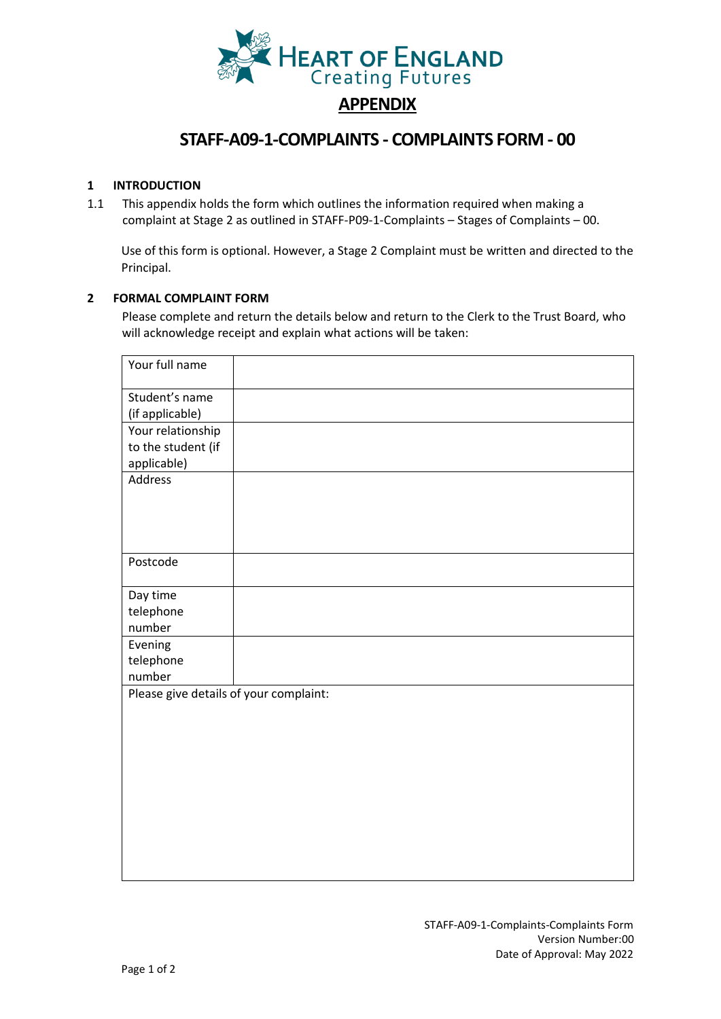

# **STAFF-A09-1-COMPLAINTS - COMPLAINTS FORM - 00**

## **1 INTRODUCTION**

1.1 This appendix holds the form which outlines the information required when making a complaint at Stage 2 as outlined in STAFF-P09-1-Complaints – Stages of Complaints – 00.

Use of this form is optional. However, a Stage 2 Complaint must be written and directed to the Principal.

## **2 FORMAL COMPLAINT FORM**

Please complete and return the details below and return to the Clerk to the Trust Board, who will acknowledge receipt and explain what actions will be taken:

| Your full name                         |  |  |
|----------------------------------------|--|--|
| Student's name                         |  |  |
| (if applicable)                        |  |  |
| Your relationship                      |  |  |
| to the student (if                     |  |  |
| applicable)                            |  |  |
| Address                                |  |  |
|                                        |  |  |
|                                        |  |  |
|                                        |  |  |
|                                        |  |  |
| Postcode                               |  |  |
|                                        |  |  |
| Day time                               |  |  |
| telephone                              |  |  |
| number                                 |  |  |
| Evening                                |  |  |
| telephone                              |  |  |
| number                                 |  |  |
| Please give details of your complaint: |  |  |
|                                        |  |  |
|                                        |  |  |
|                                        |  |  |
|                                        |  |  |
|                                        |  |  |
|                                        |  |  |
|                                        |  |  |
|                                        |  |  |
|                                        |  |  |
|                                        |  |  |